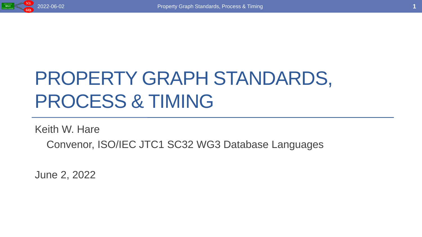

# PROPERTY GRAPH STANDARDS, PROCESS & TIMING

Keith W. Hare

Convenor, ISO/IEC JTC1 SC32 WG3 Database Languages

June 2, 2022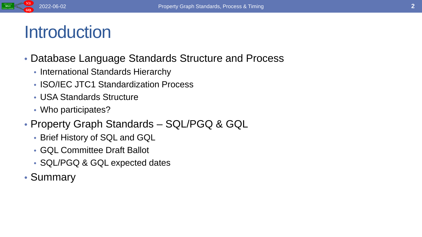

### **Introduction**

- Database Language Standards Structure and Process
	- International Standards Hierarchy
	- **ISO/IEC JTC1 Standardization Process**
	- USA Standards Structure
	- Who participates?
- Property Graph Standards SQL/PGQ & GQL
	- Brief History of SQL and GQL
	- GQL Committee Draft Ballot
	- SQL/PGQ & GQL expected dates
- Summary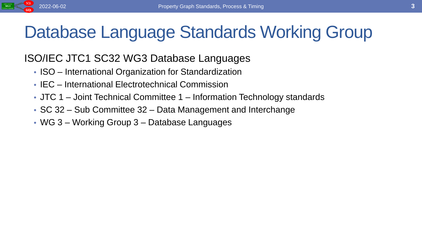

# Database Language Standards Working Group

#### ISO/IEC JTC1 SC32 WG3 Database Languages

- ISO International Organization for Standardization
- IEC International Electrotechnical Commission
- JTC 1 Joint Technical Committee 1 Information Technology standards
- SC 32 Sub Committee 32 Data Management and Interchange
- WG 3 Working Group 3 Database Languages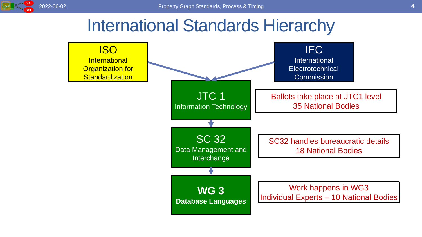

#### International Standards Hierarchy

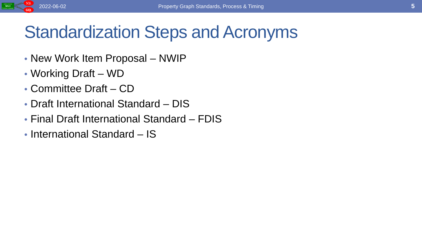

### Standardization Steps and Acronyms

- New Work Item Proposal NWIP
- Working Draft WD
- Committee Draft CD
- Draft International Standard DIS
- Final Draft International Standard FDIS
- International Standard IS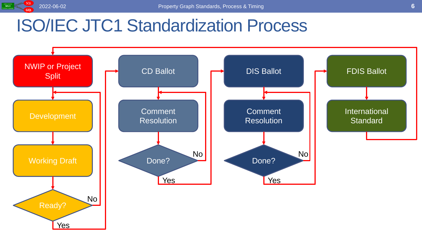

### ISO/IEC JTC1 Standardization Process

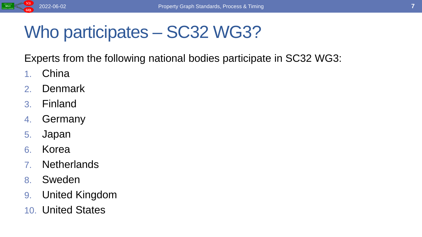

### Who participates – SC32 WG3?

Experts from the following national bodies participate in SC32 WG3:

- 1. China
- 2. Denmark
- 3. Finland
- 4. Germany
- 5. Japan
- 6. Korea
- 7. Netherlands
- 8. Sweden
- 9. United Kingdom
- 10. United States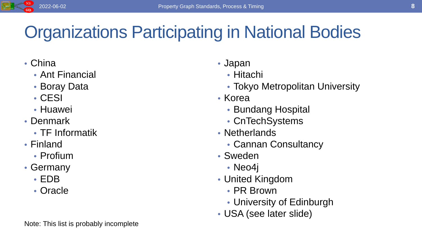

# Organizations Participating in National Bodies

- China
	- Ant Financial
	- Boray Data
	- CESI
	- Huawei
- Denmark
	- TF Informatik
- Finland
	- Profium
- Germany
	- EDB
	- Oracle

#### • Japan

- Hitachi
- Tokyo Metropolitan University
- Korea
	- Bundang Hospital
	- CnTechSystems
- Netherlands
	- Cannan Consultancy
- Sweden
	- Neo4j
- United Kingdom
	- PR Brown
	- University of Edinburgh
- USA (see later slide)

Note: This list is probably incomplete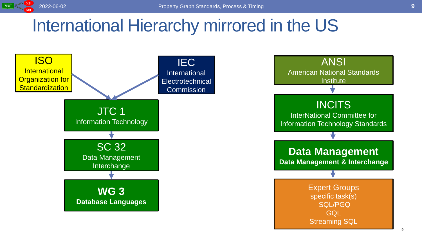

#### International Hierarchy mirrored in the US



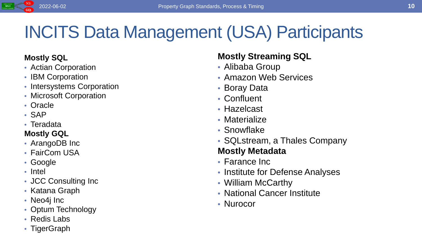

# INCITS Data Management (USA) Participants

#### **Mostly SQL**

- Actian Corporation
- IBM Corporation
- Intersystems Corporation
- Microsoft Corporation
- Oracle
- SAP
- Teradata

#### **Mostly GQL**

- ArangoDB Inc
- FairCom USA
- Google
- Intel
- JCC Consulting Inc
- Katana Graph
- Neo4j Inc
- Optum Technology
- Redis Labs
- TigerGraph

#### **Mostly Streaming SQL**

- Alibaba Group
- Amazon Web Services
- Boray Data
- Confluent
- Hazelcast
- Materialize
- Snowflake
- SQLstream, a Thales Company

#### **Mostly Metadata**

- Farance Inc
- Institute for Defense Analyses
- William McCarthy
- National Cancer Institute
- Nurocor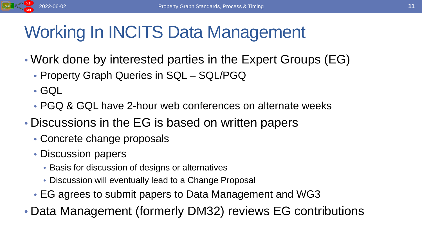

# Working In INCITS Data Management

- Work done by interested parties in the Expert Groups (EG)
	- Property Graph Queries in SQL SQL/PGQ
	- GQL
	- PGQ & GQL have 2-hour web conferences on alternate weeks
- Discussions in the EG is based on written papers
	- Concrete change proposals
	- Discussion papers
		- Basis for discussion of designs or alternatives
		- Discussion will eventually lead to a Change Proposal
	- EG agrees to submit papers to Data Management and WG3
- Data Management (formerly DM32) reviews EG contributions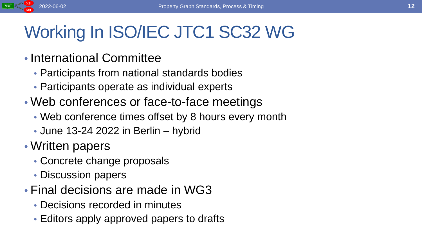# Working In ISO/IEC JTC1 SC32 WG

- International Committee
	- Participants from national standards bodies
	- Participants operate as individual experts
- Web conferences or face-to-face meetings
	- Web conference times offset by 8 hours every month
	- June 13-24 2022 in Berlin hybrid
- Written papers
	- Concrete change proposals
	- Discussion papers
- Final decisions are made in WG3
	- Decisions recorded in minutes
	- Editors apply approved papers to drafts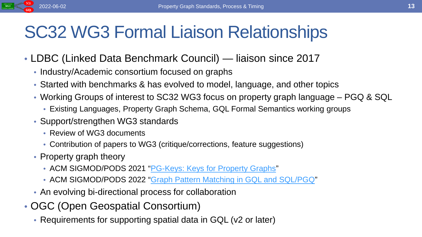#### SC32 WG3 Formal Liaison Relationships

- LDBC (Linked Data Benchmark Council) liaison since 2017
	- Industry/Academic consortium focused on graphs
	- Started with benchmarks & has evolved to model, language, and other topics
	- Working Groups of interest to SC32 WG3 focus on property graph language PGQ & SQL
		- Existing Languages, Property Graph Schema, GQL Formal Semantics working groups
	- Support/strengthen WG3 standards
		- Review of WG3 documents
		- Contribution of papers to WG3 (critique/corrections, feature suggestions)
	- Property graph theory
		- ACM SIGMOD/PODS 2021 "[PG-Keys: Keys for Property Graphs"](https://dl.acm.org/doi/10.1145/3448016.3457561)
		- ACM SIGMOD/PODS 2022 "[Graph Pattern Matching in GQL and SQL/PGQ](https://arxiv.org/abs/2112.06217)"
	- An evolving bi-directional process for collaboration
- OGC (Open Geospatial Consortium)
	- Requirements for supporting spatial data in GQL (v2 or later)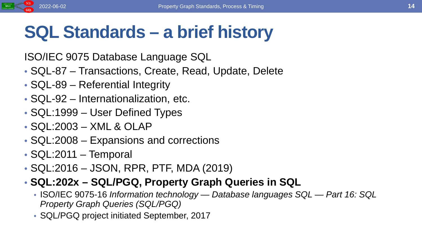

### **SQL Standards – a brief history**

ISO/IEC 9075 Database Language SQL

- SQL-87 Transactions, Create, Read, Update, Delete
- SQL-89 Referential Integrity
- SQL-92 Internationalization, etc.
- SQL:1999 User Defined Types
- SQL:2003 XML & OLAP
- SQL:2008 Expansions and corrections
- SQL:2011 Temporal
- SQL:2016 JSON, RPR, PTF, MDA (2019)
- **SQL:202x – SQL/PGQ, Property Graph Queries in SQL**
	- ISO/IEC 9075-16 *Information technology — Database languages SQL — Part 16: SQL Property Graph Queries (SQL/PGQ)*
	- SQL/PGQ project initiated September, 2017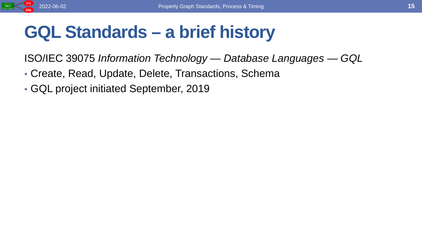

# **GQL Standards – a brief history**

ISO/IEC 39075 *Information Technology — Database Languages — GQL*

- Create, Read, Update, Delete, Transactions, Schema
- GQL project initiated September, 2019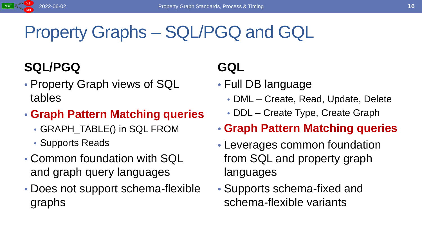# Property Graphs – SQL/PGQ and GQL

#### **SQL/PGQ**

- Property Graph views of SQL tables
- **Graph Pattern Matching queries**
	- GRAPH\_TABLE() in SQL FROM
	- Supports Reads
- Common foundation with SQL and graph query languages
- Does not support schema-flexible graphs

#### **GQL**

- Full DB language
	- DML Create, Read, Update, Delete
	- DDL Create Type, Create Graph
- **Graph Pattern Matching queries**
- Leverages common foundation from SQL and property graph languages
- Supports schema-fixed and schema-flexible variants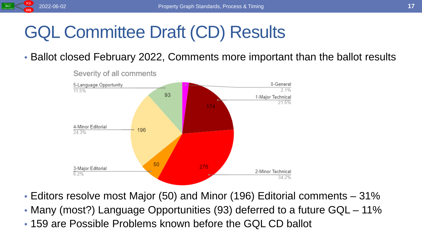

# GQL Committee Draft (CD) Results

#### • Ballot closed February 2022, Comments more important than the ballot results



Severity of all comments

- Editors resolve most Major (50) and Minor (196) Editorial comments 31%
- Many (most?) Language Opportunities (93) deferred to a future GQL 11%
- 159 are Possible Problems known before the GQL CD ballot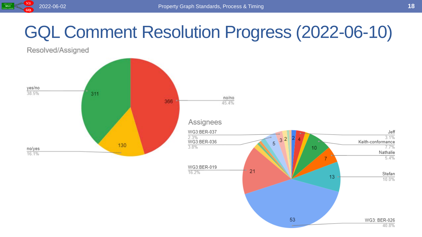

# GQL Comment Resolution Progress (2022-06-10)

Resolved/Assigned

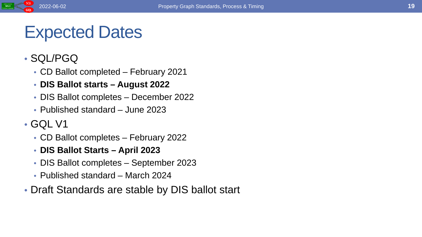### Expected Dates

#### • SQL/PGQ

- CD Ballot completed February 2021
- **DIS Ballot starts – August 2022**
- DIS Ballot completes December 2022
- Published standard June 2023

#### • GQL V1

- CD Ballot completes February 2022
- **DIS Ballot Starts – April 2023**
- DIS Ballot completes September 2023
- Published standard March 2024
- Draft Standards are stable by DIS ballot start